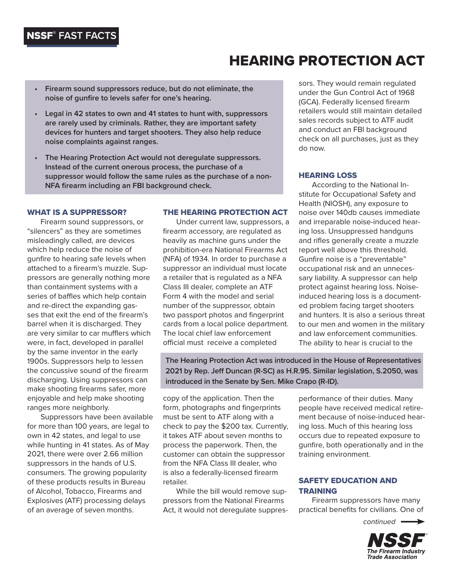# NSSF® **FAST FACTS**

# HEARING PROTECTION ACT

- **• Firearm sound suppressors reduce, but do not eliminate, the noise of gunfire to levels safer for one's hearing.**
- **• Legal in 42 states to own and 41 states to hunt with, suppressors are rarely used by criminals. Rather, they are important safety devices for hunters and target shooters. They also help reduce noise complaints against ranges.**
- **• The Hearing Protection Act would not deregulate suppressors. Instead of the current onerous process, the purchase of a suppressor would follow the same rules as the purchase of a non-NFA firearm including an FBI background check.**

#### WHAT IS A SUPPRESSOR?

Firearm sound suppressors, or "silencers" as they are sometimes misleadingly called, are devices which help reduce the noise of gunfire to hearing safe levels when attached to a firearm's muzzle. Suppressors are generally nothing more than containment systems with a series of baffles which help contain and re-direct the expanding gasses that exit the end of the firearm's barrel when it is discharged. They are very similar to car mufflers which were, in fact, developed in parallel by the same inventor in the early 1900s. Suppressors help to lessen the concussive sound of the firearm discharging. Using suppressors can make shooting firearms safer, more enjoyable and help make shooting ranges more neighborly.

Suppressors have been available for more than 100 years, are legal to own in 42 states, and legal to use while hunting in 41 states. As of May 2021, there were over 2.66 million suppressors in the hands of U.S. consumers. The growing popularity of these products results in Bureau of Alcohol, Tobacco, Firearms and Explosives (ATF) processing delays of an average of seven months.

#### THE HEARING PROTECTION ACT

Under current law, suppressors, a firearm accessory, are regulated as heavily as machine guns under the prohibition-era National Firearms Act (NFA) of 1934. In order to purchase a suppressor an individual must locate a retailer that is regulated as a NFA Class III dealer, complete an ATF Form 4 with the model and serial number of the suppressor, obtain two passport photos and fingerprint cards from a local police department. The local chief law enforcement official must receive a completed

sors. They would remain regulated under the Gun Control Act of 1968 (GCA). Federally licensed firearm retailers would still maintain detailed sales records subject to ATF audit and conduct an FBI background check on all purchases, just as they do now.

#### HEARING LOSS

According to the National Institute for Occupational Safety and Health (NIOSH), any exposure to noise over 140db causes immediate and irreparable noise-induced hearing loss. Unsuppressed handguns and rifles generally create a muzzle report well above this threshold. Gunfire noise is a "preventable" occupational risk and an unnecessary liability. A suppressor can help protect against hearing loss. Noiseinduced hearing loss is a documented problem facing target shooters and hunters. It is also a serious threat to our men and women in the military and law enforcement communities. The ability to hear is crucial to the

**The Hearing Protection Act was introduced in the House of Representatives 2021 by Rep. Jeff Duncan (R-SC) as H.R.95. Similar legislation, S.2050, was introduced in the Senate by Sen. Mike Crapo (R-ID).**

copy of the application. Then the form, photographs and fingerprints must be sent to ATF along with a check to pay the \$200 tax. Currently, it takes ATF about seven months to process the paperwork. Then, the customer can obtain the suppressor from the NFA Class III dealer, who is also a federally-licensed firearm retailer.

While the bill would remove suppressors from the National Firearms Act, it would not deregulate suppres-

performance of their duties. Many people have received medical retirement because of noise-induced hearing loss. Much of this hearing loss occurs due to repeated exposure to gunfire, both operationally and in the training environment.

# SAFETY EDUCATION AND TRAINING

Firearm suppressors have many practical benefits for civilians. One of

 *continued*